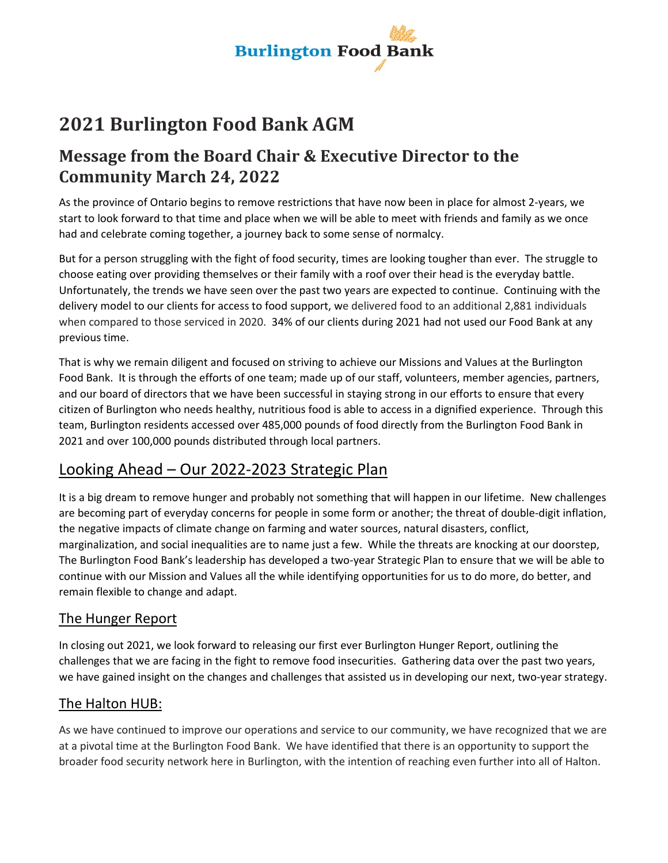

# **2021 Burlington Food Bank AGM**

## **Message from the Board Chair & Executive Director to the Community March 24, 2022**

As the province of Ontario begins to remove restrictions that have now been in place for almost 2-years, we start to look forward to that time and place when we will be able to meet with friends and family as we once had and celebrate coming together, a journey back to some sense of normalcy.

But for a person struggling with the fight of food security, times are looking tougher than ever. The struggle to choose eating over providing themselves or their family with a roof over their head is the everyday battle. Unfortunately, the trends we have seen over the past two years are expected to continue. Continuing with the delivery model to our clients for access to food support, we delivered food to an additional 2,881 individuals when compared to those serviced in 2020. 34% of our clients during 2021 had not used our Food Bank at any previous time.

That is why we remain diligent and focused on striving to achieve our Missions and Values at the Burlington Food Bank. It is through the efforts of one team; made up of our staff, volunteers, member agencies, partners, and our board of directors that we have been successful in staying strong in our efforts to ensure that every citizen of Burlington who needs healthy, nutritious food is able to access in a dignified experience. Through this team, Burlington residents accessed over 485,000 pounds of food directly from the Burlington Food Bank in 2021 and over 100,000 pounds distributed through local partners.

### Looking Ahead – Our 2022-2023 Strategic Plan

It is a big dream to remove hunger and probably not something that will happen in our lifetime. New challenges are becoming part of everyday concerns for people in some form or another; the threat of double-digit inflation, the negative impacts of climate change on farming and water sources, natural disasters, conflict, marginalization, and social inequalities are to name just a few. While the threats are knocking at our doorstep, The Burlington Food Bank's leadership has developed a two-year Strategic Plan to ensure that we will be able to continue with our Mission and Values all the while identifying opportunities for us to do more, do better, and remain flexible to change and adapt.

#### The Hunger Report

In closing out 2021, we look forward to releasing our first ever Burlington Hunger Report, outlining the challenges that we are facing in the fight to remove food insecurities. Gathering data over the past two years, we have gained insight on the changes and challenges that assisted us in developing our next, two-year strategy.

#### The Halton HUB:

As we have continued to improve our operations and service to our community, we have recognized that we are at a pivotal time at the Burlington Food Bank. We have identified that there is an opportunity to support the broader food security network here in Burlington, with the intention of reaching even further into all of Halton.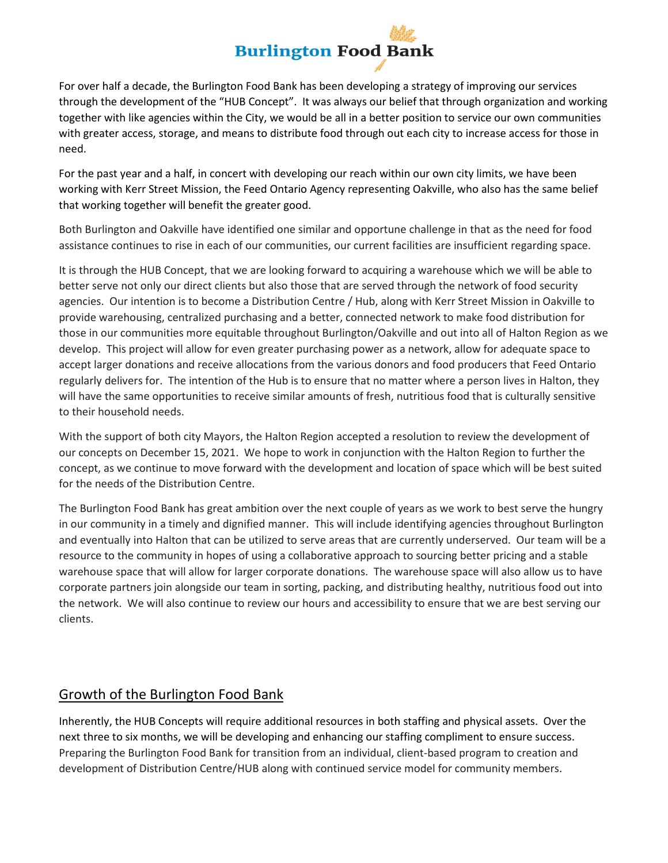# **Burlington Food Bank**

For over half a decade, the Burlington Food Bank has been developing a strategy of improving our services through the development of the "HUB Concept". It was always our belief that through organization and working together with like agencies within the City, we would be all in a better position to service our own communities with greater access, storage, and means to distribute food through out each city to increase access for those in need.

For the past year and a half, in concert with developing our reach within our own city limits, we have been working with Kerr Street Mission, the Feed Ontario Agency representing Oakville, who also has the same belief that working together will benefit the greater good.

Both Burlington and Oakville have identified one similar and opportune challenge in that as the need for food assistance continues to rise in each of our communities, our current facilities are insufficient regarding space.

It is through the HUB Concept, that we are looking forward to acquiring a warehouse which we will be able to better serve not only our direct clients but also those that are served through the network of food security agencies. Our intention is to become a Distribution Centre / Hub, along with Kerr Street Mission in Oakville to provide warehousing, centralized purchasing and a better, connected network to make food distribution for those in our communities more equitable throughout Burlington/Oakville and out into all of Halton Region as we develop. This project will allow for even greater purchasing power as a network, allow for adequate space to accept larger donations and receive allocations from the various donors and food producers that Feed Ontario regularly delivers for. The intention of the Hub is to ensure that no matter where a person lives in Halton, they will have the same opportunities to receive similar amounts of fresh, nutritious food that is culturally sensitive to their household needs.

With the support of both city Mayors, the Halton Region accepted a resolution to review the development of our concepts on December 15, 2021. We hope to work in conjunction with the Halton Region to further the concept, as we continue to move forward with the development and location of space which will be best suited for the needs of the Distribution Centre.

The Burlington Food Bank has great ambition over the next couple of years as we work to best serve the hungry in our community in a timely and dignified manner. This will include identifying agencies throughout Burlington and eventually into Halton that can be utilized to serve areas that are currently underserved. Our team will be a resource to the community in hopes of using a collaborative approach to sourcing better pricing and a stable warehouse space that will allow for larger corporate donations. The warehouse space will also allow us to have corporate partners join alongside our team in sorting, packing, and distributing healthy, nutritious food out into the network. We will also continue to review our hours and accessibility to ensure that we are best serving our clients.

#### Growth of the Burlington Food Bank

Inherently, the HUB Concepts will require additional resources in both staffing and physical assets. Over the next three to six months, we will be developing and enhancing our staffing compliment to ensure success. Preparing the Burlington Food Bank for transition from an individual, client-based program to creation and development of Distribution Centre/HUB along with continued service model for community members.